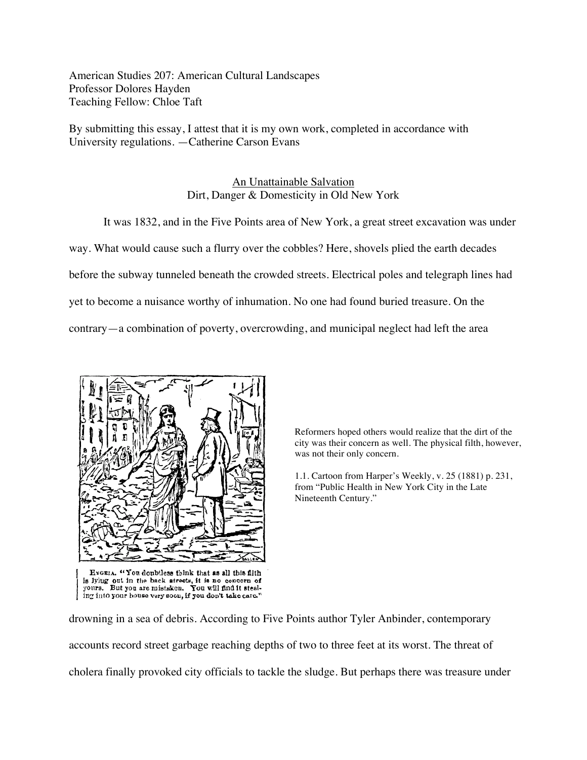American Studies 207: American Cultural Landscapes Professor Dolores Hayden Teaching Fellow: Chloe Taft

By submitting this essay, I attest that it is my own work, completed in accordance with University regulations. —Catherine Carson Evans

## An Unattainable Salvation Dirt, Danger & Domesticity in Old New York

It was 1832, and in the Five Points area of New York, a great street excavation was under way. What would cause such a flurry over the cobbles? Here, shovels plied the earth decades before the subway tunneled beneath the crowded streets. Electrical poles and telegraph lines had yet to become a nuisance worthy of inhumation. No one had found buried treasure. On the contrary—a combination of poverty, overcrowding, and municipal neglect had left the area



HYGEIA. "You doubtless think that as all this filth is lying out in the back streets, it is no concern of<br>yours. But you are mistaken. You will find it steal-<br>ing into your house very soon, if you don't take care."

Reformers hoped others would realize that the dirt of the city was their concern as well. The physical filth, however, was not their only concern.

1.1. Cartoon from Harper's Weekly, v. 25 (1881) p. 231, from "Public Health in New York City in the Late Nineteenth Century."

drowning in a sea of debris. According to Five Points author Tyler Anbinder, contemporary accounts record street garbage reaching depths of two to three feet at its worst. The threat of cholera finally provoked city officials to tackle the sludge. But perhaps there was treasure under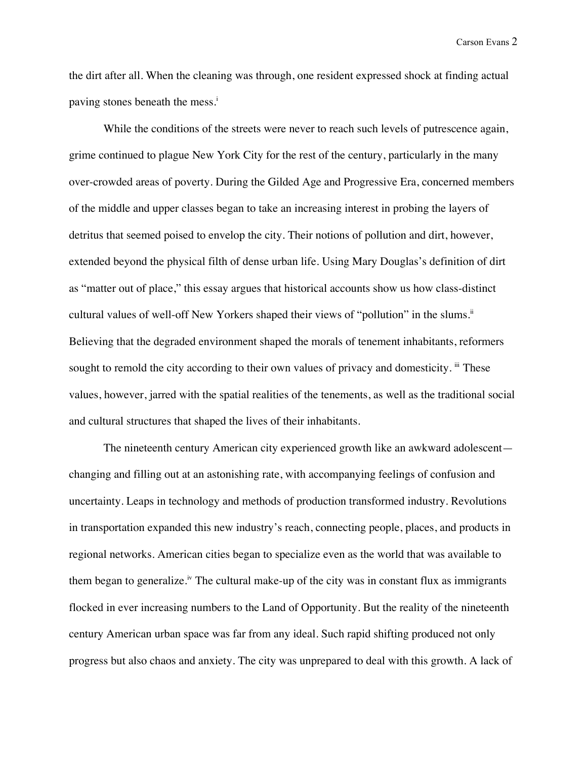the dirt after all. When the cleaning was through, one resident expressed shock at finding actual paving stones beneath the mess.<sup>i</sup>

While the conditions of the streets were never to reach such levels of putrescence again, grime continued to plague New York City for the rest of the century, particularly in the many over-crowded areas of poverty. During the Gilded Age and Progressive Era, concerned members of the middle and upper classes began to take an increasing interest in probing the layers of detritus that seemed poised to envelop the city. Their notions of pollution and dirt, however, extended beyond the physical filth of dense urban life. Using Mary Douglas's definition of dirt as "matter out of place," this essay argues that historical accounts show us how class-distinct cultural values of well-off New Yorkers shaped their views of "pollution" in the slums.<sup>ii</sup> Believing that the degraded environment shaped the morals of tenement inhabitants, reformers sought to remold the city according to their own values of privacy and domesticity. iii These values, however, jarred with the spatial realities of the tenements, as well as the traditional social and cultural structures that shaped the lives of their inhabitants.

The nineteenth century American city experienced growth like an awkward adolescent changing and filling out at an astonishing rate, with accompanying feelings of confusion and uncertainty. Leaps in technology and methods of production transformed industry. Revolutions in transportation expanded this new industry's reach, connecting people, places, and products in regional networks. American cities began to specialize even as the world that was available to them began to generalize.<sup>iv</sup> The cultural make-up of the city was in constant flux as immigrants flocked in ever increasing numbers to the Land of Opportunity. But the reality of the nineteenth century American urban space was far from any ideal. Such rapid shifting produced not only progress but also chaos and anxiety. The city was unprepared to deal with this growth. A lack of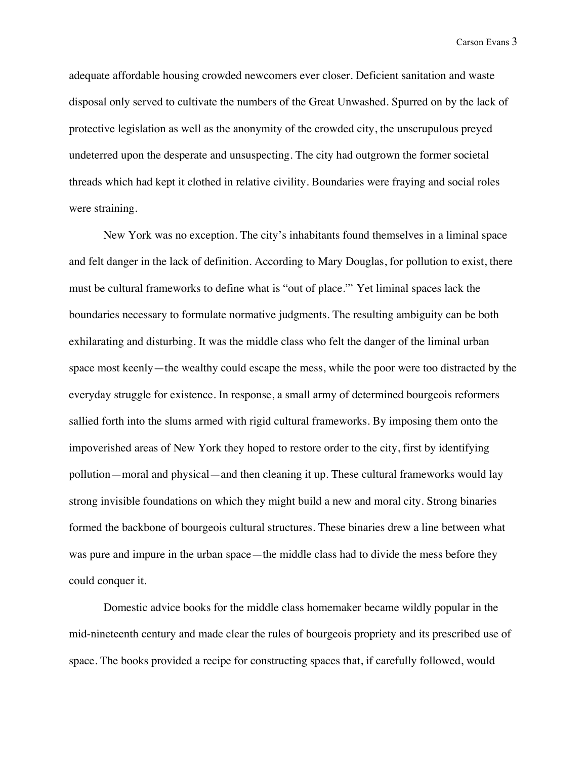adequate affordable housing crowded newcomers ever closer. Deficient sanitation and waste disposal only served to cultivate the numbers of the Great Unwashed. Spurred on by the lack of protective legislation as well as the anonymity of the crowded city, the unscrupulous preyed undeterred upon the desperate and unsuspecting. The city had outgrown the former societal threads which had kept it clothed in relative civility. Boundaries were fraying and social roles were straining.

New York was no exception. The city's inhabitants found themselves in a liminal space and felt danger in the lack of definition. According to Mary Douglas, for pollution to exist, there must be cultural frameworks to define what is "out of place."v Yet liminal spaces lack the boundaries necessary to formulate normative judgments. The resulting ambiguity can be both exhilarating and disturbing. It was the middle class who felt the danger of the liminal urban space most keenly—the wealthy could escape the mess, while the poor were too distracted by the everyday struggle for existence. In response, a small army of determined bourgeois reformers sallied forth into the slums armed with rigid cultural frameworks. By imposing them onto the impoverished areas of New York they hoped to restore order to the city, first by identifying pollution—moral and physical—and then cleaning it up. These cultural frameworks would lay strong invisible foundations on which they might build a new and moral city. Strong binaries formed the backbone of bourgeois cultural structures. These binaries drew a line between what was pure and impure in the urban space—the middle class had to divide the mess before they could conquer it.

Domestic advice books for the middle class homemaker became wildly popular in the mid-nineteenth century and made clear the rules of bourgeois propriety and its prescribed use of space. The books provided a recipe for constructing spaces that, if carefully followed, would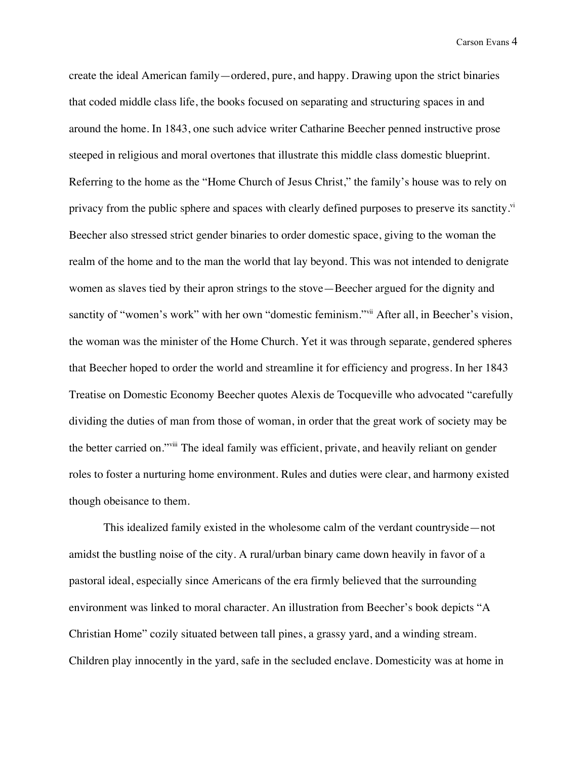create the ideal American family—ordered, pure, and happy. Drawing upon the strict binaries that coded middle class life, the books focused on separating and structuring spaces in and around the home. In 1843, one such advice writer Catharine Beecher penned instructive prose steeped in religious and moral overtones that illustrate this middle class domestic blueprint. Referring to the home as the "Home Church of Jesus Christ," the family's house was to rely on privacy from the public sphere and spaces with clearly defined purposes to preserve its sanctity.<sup>vi</sup> Beecher also stressed strict gender binaries to order domestic space, giving to the woman the realm of the home and to the man the world that lay beyond. This was not intended to denigrate women as slaves tied by their apron strings to the stove—Beecher argued for the dignity and sanctity of "women's work" with her own "domestic feminism."<sup>vii</sup> After all, in Beecher's vision, the woman was the minister of the Home Church. Yet it was through separate, gendered spheres that Beecher hoped to order the world and streamline it for efficiency and progress. In her 1843 Treatise on Domestic Economy Beecher quotes Alexis de Tocqueville who advocated "carefully dividing the duties of man from those of woman, in order that the great work of society may be the better carried on."viii The ideal family was efficient, private, and heavily reliant on gender roles to foster a nurturing home environment. Rules and duties were clear, and harmony existed though obeisance to them.

This idealized family existed in the wholesome calm of the verdant countryside—not amidst the bustling noise of the city. A rural/urban binary came down heavily in favor of a pastoral ideal, especially since Americans of the era firmly believed that the surrounding environment was linked to moral character. An illustration from Beecher's book depicts "A Christian Home" cozily situated between tall pines, a grassy yard, and a winding stream. Children play innocently in the yard, safe in the secluded enclave. Domesticity was at home in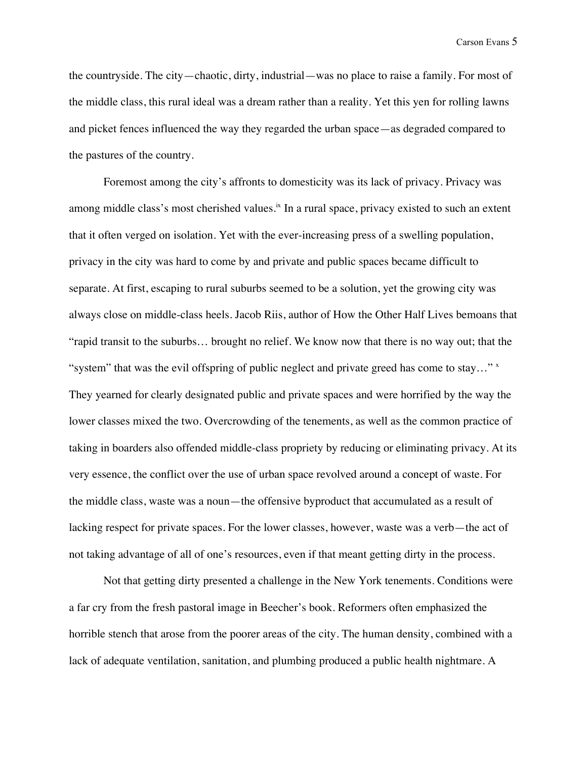the countryside. The city—chaotic, dirty, industrial—was no place to raise a family. For most of the middle class, this rural ideal was a dream rather than a reality. Yet this yen for rolling lawns and picket fences influenced the way they regarded the urban space—as degraded compared to the pastures of the country.

Foremost among the city's affronts to domesticity was its lack of privacy. Privacy was among middle class's most cherished values. $\dot{x}$  In a rural space, privacy existed to such an extent that it often verged on isolation. Yet with the ever-increasing press of a swelling population, privacy in the city was hard to come by and private and public spaces became difficult to separate. At first, escaping to rural suburbs seemed to be a solution, yet the growing city was always close on middle-class heels. Jacob Riis, author of How the Other Half Lives bemoans that "rapid transit to the suburbs… brought no relief. We know now that there is no way out; that the "system" that was the evil offspring of public neglect and private greed has come to stay..." They yearned for clearly designated public and private spaces and were horrified by the way the lower classes mixed the two. Overcrowding of the tenements, as well as the common practice of taking in boarders also offended middle-class propriety by reducing or eliminating privacy. At its very essence, the conflict over the use of urban space revolved around a concept of waste. For the middle class, waste was a noun—the offensive byproduct that accumulated as a result of lacking respect for private spaces. For the lower classes, however, waste was a verb—the act of not taking advantage of all of one's resources, even if that meant getting dirty in the process.

Not that getting dirty presented a challenge in the New York tenements. Conditions were a far cry from the fresh pastoral image in Beecher's book. Reformers often emphasized the horrible stench that arose from the poorer areas of the city. The human density, combined with a lack of adequate ventilation, sanitation, and plumbing produced a public health nightmare. A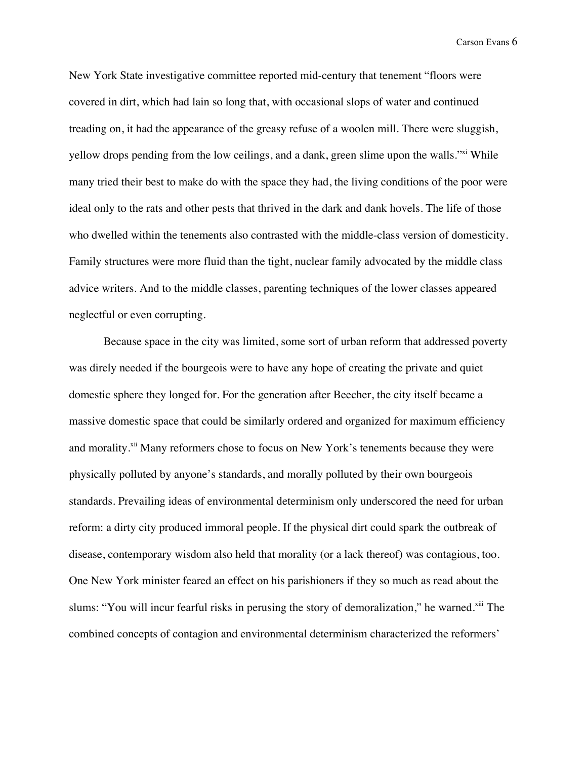New York State investigative committee reported mid-century that tenement "floors were covered in dirt, which had lain so long that, with occasional slops of water and continued treading on, it had the appearance of the greasy refuse of a woolen mill. There were sluggish, yellow drops pending from the low ceilings, and a dank, green slime upon the walls."<sup>xi</sup> While many tried their best to make do with the space they had, the living conditions of the poor were ideal only to the rats and other pests that thrived in the dark and dank hovels. The life of those who dwelled within the tenements also contrasted with the middle-class version of domesticity. Family structures were more fluid than the tight, nuclear family advocated by the middle class advice writers. And to the middle classes, parenting techniques of the lower classes appeared neglectful or even corrupting.

Because space in the city was limited, some sort of urban reform that addressed poverty was direly needed if the bourgeois were to have any hope of creating the private and quiet domestic sphere they longed for. For the generation after Beecher, the city itself became a massive domestic space that could be similarly ordered and organized for maximum efficiency and morality.<sup>xii</sup> Many reformers chose to focus on New York's tenements because they were physically polluted by anyone's standards, and morally polluted by their own bourgeois standards. Prevailing ideas of environmental determinism only underscored the need for urban reform: a dirty city produced immoral people. If the physical dirt could spark the outbreak of disease, contemporary wisdom also held that morality (or a lack thereof) was contagious, too. One New York minister feared an effect on his parishioners if they so much as read about the slums: "You will incur fearful risks in perusing the story of demoralization," he warned.<sup>xiii</sup> The combined concepts of contagion and environmental determinism characterized the reformers'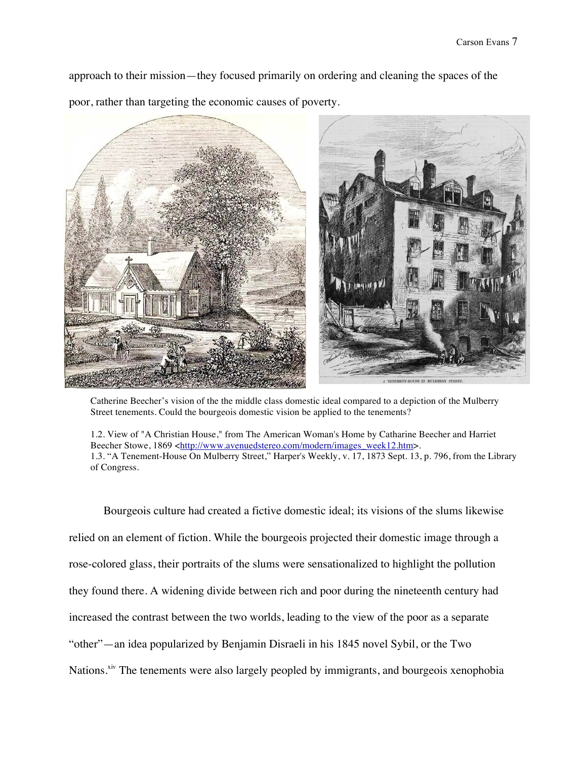approach to their mission—they focused primarily on ordering and cleaning the spaces of the poor, rather than targeting the economic causes of poverty.



Catherine Beecher's vision of the the middle class domestic ideal compared to a depiction of the Mulberry Street tenements. Could the bourgeois domestic vision be applied to the tenements?

1.2. View of "A Christian House," from The American Woman's Home by Catharine Beecher and Harriet Beecher Stowe, 1869 <http://www.avenuedstereo.com/modern/images\_week12.htm>. 1.3. "A Tenement-House On Mulberry Street," Harper's Weekly, v. 17, 1873 Sept. 13, p. 796, from the Library of Congress.

Bourgeois culture had created a fictive domestic ideal; its visions of the slums likewise relied on an element of fiction. While the bourgeois projected their domestic image through a rose-colored glass, their portraits of the slums were sensationalized to highlight the pollution they found there. A widening divide between rich and poor during the nineteenth century had increased the contrast between the two worlds, leading to the view of the poor as a separate "other"—an idea popularized by Benjamin Disraeli in his 1845 novel Sybil, or the Two Nations.<sup>xiv</sup> The tenements were also largely peopled by immigrants, and bourgeois xenophobia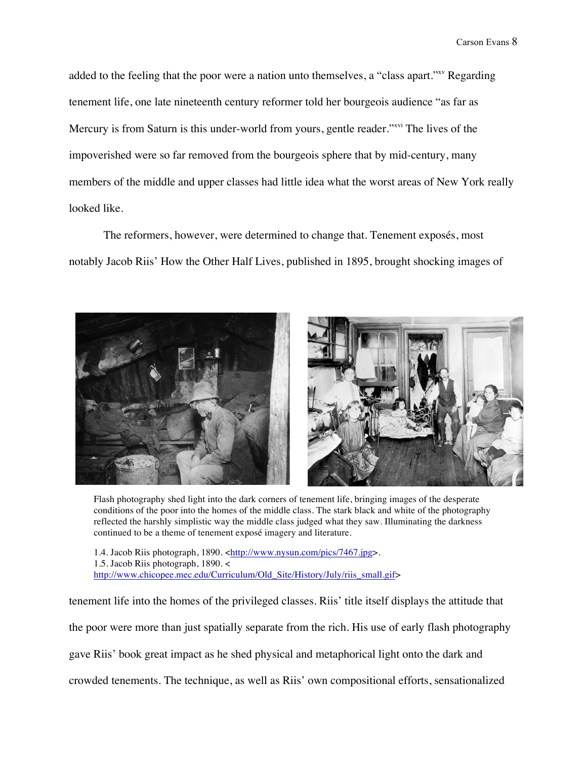added to the feeling that the poor were a nation unto themselves, a "class apart."<sup>xx</sup> Regarding tenement life, one late nineteenth century reformer told her bourgeois audience "as far as Mercury is from Saturn is this under-world from yours, gentle reader."<sup>xvi</sup> The lives of the impoverished were so far removed from the bourgeois sphere that by mid-century, many members of the middle and upper classes had little idea what the worst areas of New York really looked like.

The reformers, however, were determined to change that. Tenement exposés, most notably Jacob Riis' How the Other Half Lives, published in 1895, brought shocking images of



Flash photography shed light into the dark corners of tenement life, bringing images of the desperate conditions of the poor into the homes of the middle class. The stark black and white of the photography reflected the harshly simplistic way the middle class judged what they saw. Illuminating the darkness continued to be a theme of tenement exposé imagery and literature.

1.4. Jacob Riis photograph, 1890. <http://www.nysun.com/pics/7467.jpg>. 1.5. Jacob Riis photograph, 1890. < http://www.chicopee.mec.edu/Curriculum/Old\_Site/History/July/riis\_small.gif>

tenement life into the homes of the privileged classes. Riis' title itself displays the attitude that

the poor were more than just spatially separate from the rich. His use of early flash photography

gave Riis' book great impact as he shed physical and metaphorical light onto the dark and

crowded tenements. The technique, as well as Riis' own compositional efforts, sensationalized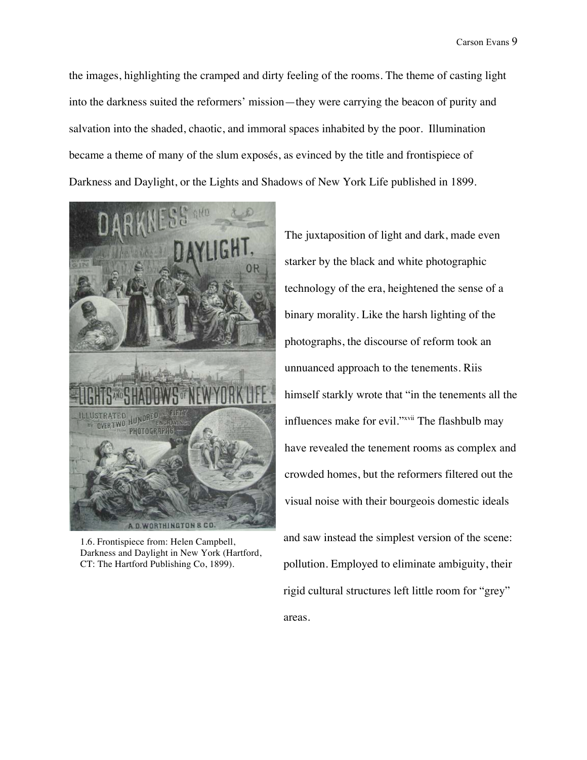the images, highlighting the cramped and dirty feeling of the rooms. The theme of casting light into the darkness suited the reformers' mission—they were carrying the beacon of purity and salvation into the shaded, chaotic, and immoral spaces inhabited by the poor. Illumination became a theme of many of the slum exposés, as evinced by the title and frontispiece of Darkness and Daylight, or the Lights and Shadows of New York Life published in 1899.



1.6. Frontispiece from: Helen Campbell, Darkness and Daylight in New York (Hartford, CT: The Hartford Publishing Co, 1899).

The juxtaposition of light and dark, made even starker by the black and white photographic technology of the era, heightened the sense of a binary morality. Like the harsh lighting of the photographs, the discourse of reform took an unnuanced approach to the tenements. Riis himself starkly wrote that "in the tenements all the influences make for evil."<sup>xvii</sup> The flashbulb may have revealed the tenement rooms as complex and crowded homes, but the reformers filtered out the visual noise with their bourgeois domestic ideals

and saw instead the simplest version of the scene: pollution. Employed to eliminate ambiguity, their rigid cultural structures left little room for "grey" areas.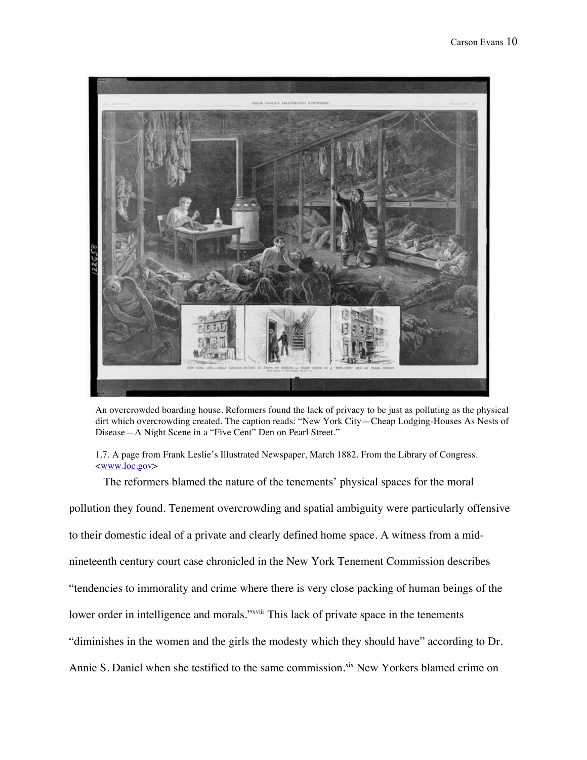

An overcrowded boarding house. Reformers found the lack of privacy to be just as polluting as the physical dirt which overcrowding created. The caption reads: "New York City—Cheap Lodging-Houses As Nests of Disease—A Night Scene in a "Five Cent" Den on Pearl Street."

1.7. A page from Frank Leslie's Illustrated Newspaper, March 1882. From the Library of Congress. <www.loc.gov>

The reformers blamed the nature of the tenements' physical spaces for the moral

pollution they found. Tenement overcrowding and spatial ambiguity were particularly offensive to their domestic ideal of a private and clearly defined home space. A witness from a midnineteenth century court case chronicled in the New York Tenement Commission describes "tendencies to immorality and crime where there is very close packing of human beings of the lower order in intelligence and morals."<sup>xviii</sup> This lack of private space in the tenements "diminishes in the women and the girls the modesty which they should have" according to Dr. Annie S. Daniel when she testified to the same commission.<sup>xix</sup> New Yorkers blamed crime on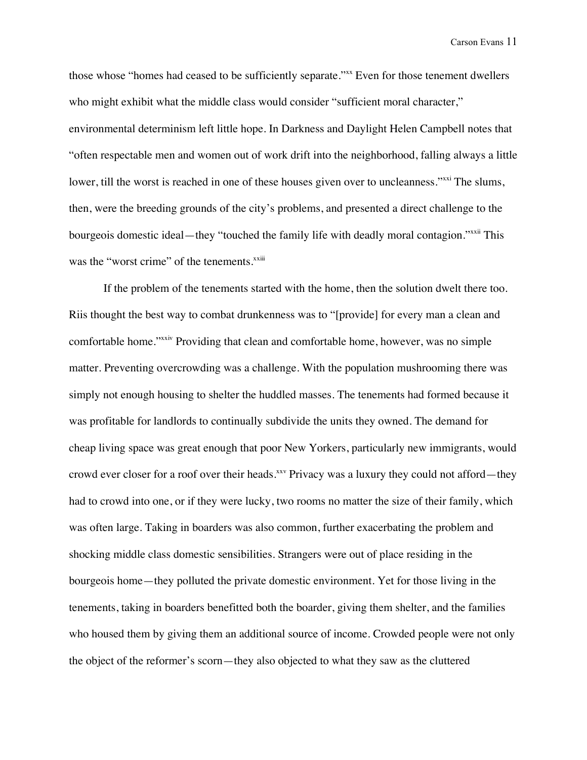those whose "homes had ceased to be sufficiently separate."<sup>xx</sup> Even for those tenement dwellers who might exhibit what the middle class would consider "sufficient moral character," environmental determinism left little hope. In Darkness and Daylight Helen Campbell notes that "often respectable men and women out of work drift into the neighborhood, falling always a little lower, till the worst is reached in one of these houses given over to uncleanness."<sup>xxi</sup> The slums, then, were the breeding grounds of the city's problems, and presented a direct challenge to the bourgeois domestic ideal—they "touched the family life with deadly moral contagion."<sup>xxii</sup> This was the "worst crime" of the tenements.<sup>xxiii</sup>

If the problem of the tenements started with the home, then the solution dwelt there too. Riis thought the best way to combat drunkenness was to "[provide] for every man a clean and comfortable home."xxiv Providing that clean and comfortable home, however, was no simple matter. Preventing overcrowding was a challenge. With the population mushrooming there was simply not enough housing to shelter the huddled masses. The tenements had formed because it was profitable for landlords to continually subdivide the units they owned. The demand for cheap living space was great enough that poor New Yorkers, particularly new immigrants, would crowd ever closer for a roof over their heads.<sup>xxv</sup> Privacy was a luxury they could not afford—they had to crowd into one, or if they were lucky, two rooms no matter the size of their family, which was often large. Taking in boarders was also common, further exacerbating the problem and shocking middle class domestic sensibilities. Strangers were out of place residing in the bourgeois home—they polluted the private domestic environment. Yet for those living in the tenements, taking in boarders benefitted both the boarder, giving them shelter, and the families who housed them by giving them an additional source of income. Crowded people were not only the object of the reformer's scorn—they also objected to what they saw as the cluttered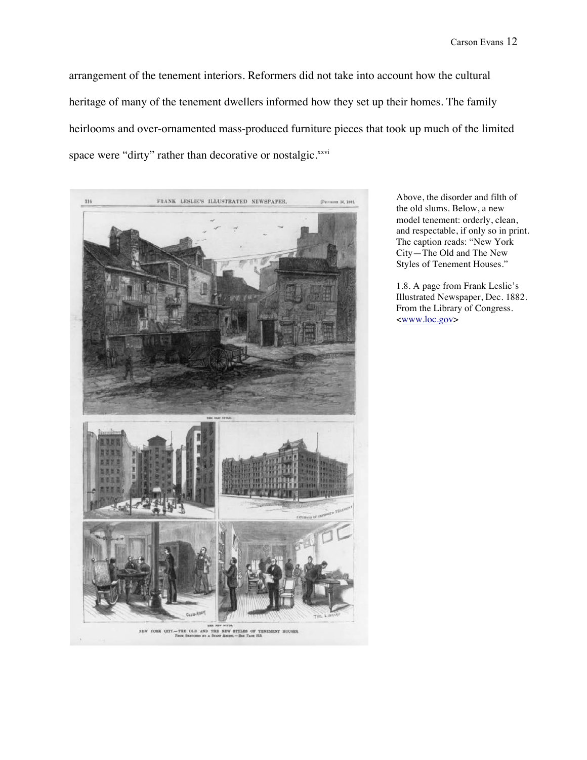arrangement of the tenement interiors. Reformers did not take into account how the cultural heritage of many of the tenement dwellers informed how they set up their homes. The family heirlooms and over-ornamented mass-produced furniture pieces that took up much of the limited space were "dirty" rather than decorative or nostalgic.<sup>xxvi</sup>



Above, the disorder and filth of the old slums. Below, a new model tenement: orderly, clean, and respectable, if only so in print. The caption reads: "New York City—The Old and The New Styles of Tenement Houses."

1.8. A page from Frank Leslie's Illustrated Newspaper, Dec. 1882. From the Library of Congress. <www.loc.gov>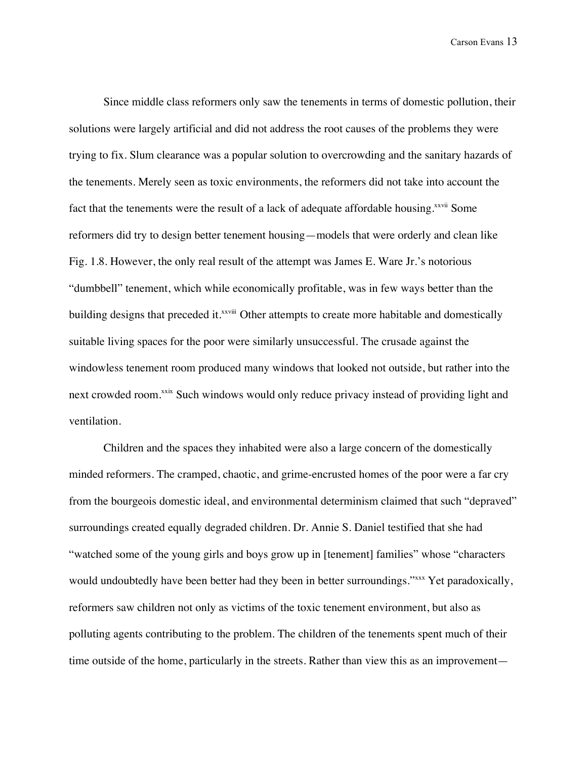Since middle class reformers only saw the tenements in terms of domestic pollution, their solutions were largely artificial and did not address the root causes of the problems they were trying to fix. Slum clearance was a popular solution to overcrowding and the sanitary hazards of the tenements. Merely seen as toxic environments, the reformers did not take into account the fact that the tenements were the result of a lack of adequate affordable housing.<sup>xxvii</sup> Some reformers did try to design better tenement housing—models that were orderly and clean like Fig. 1.8. However, the only real result of the attempt was James E. Ware Jr.'s notorious "dumbbell" tenement, which while economically profitable, was in few ways better than the building designs that preceded it.<sup>xxviii</sup> Other attempts to create more habitable and domestically suitable living spaces for the poor were similarly unsuccessful. The crusade against the windowless tenement room produced many windows that looked not outside, but rather into the next crowded room.<sup>xxix</sup> Such windows would only reduce privacy instead of providing light and ventilation.

Children and the spaces they inhabited were also a large concern of the domestically minded reformers. The cramped, chaotic, and grime-encrusted homes of the poor were a far cry from the bourgeois domestic ideal, and environmental determinism claimed that such "depraved" surroundings created equally degraded children. Dr. Annie S. Daniel testified that she had "watched some of the young girls and boys grow up in [tenement] families" whose "characters would undoubtedly have been better had they been in better surroundings."<sup>xxxx</sup> Yet paradoxically, reformers saw children not only as victims of the toxic tenement environment, but also as polluting agents contributing to the problem. The children of the tenements spent much of their time outside of the home, particularly in the streets. Rather than view this as an improvement—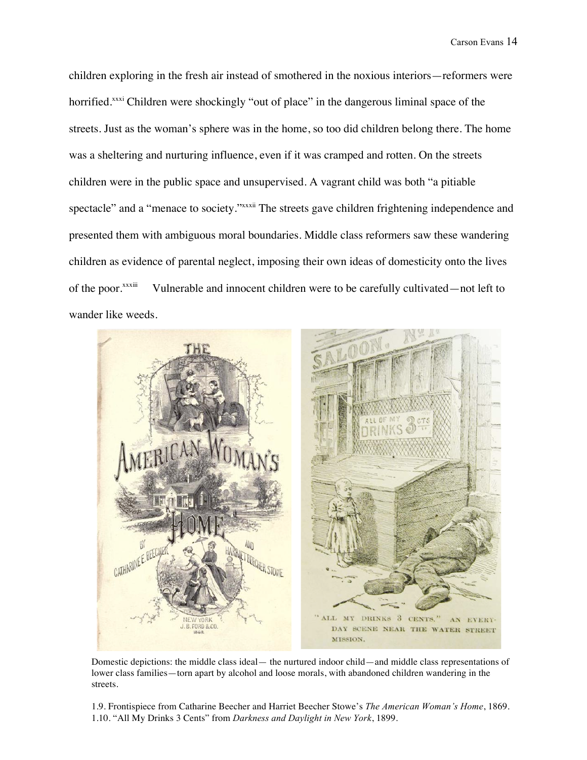children exploring in the fresh air instead of smothered in the noxious interiors—reformers were horrified.<sup>xxxi</sup> Children were shockingly "out of place" in the dangerous liminal space of the streets. Just as the woman's sphere was in the home, so too did children belong there. The home was a sheltering and nurturing influence, even if it was cramped and rotten. On the streets children were in the public space and unsupervised. A vagrant child was both "a pitiable spectacle" and a "menace to society." XXXII The streets gave children frightening independence and presented them with ambiguous moral boundaries. Middle class reformers saw these wandering children as evidence of parental neglect, imposing their own ideas of domesticity onto the lives of the poor.<sup>xxxii</sup> Vulnerable and innocent children were to be carefully cultivated—not left to wander like weeds.



Domestic depictions: the middle class ideal— the nurtured indoor child—and middle class representations of lower class families—torn apart by alcohol and loose morals, with abandoned children wandering in the streets.

1.9. Frontispiece from Catharine Beecher and Harriet Beecher Stowe's *The American Woman's Home*, 1869. 1.10. "All My Drinks 3 Cents" from *Darkness and Daylight in New York*, 1899.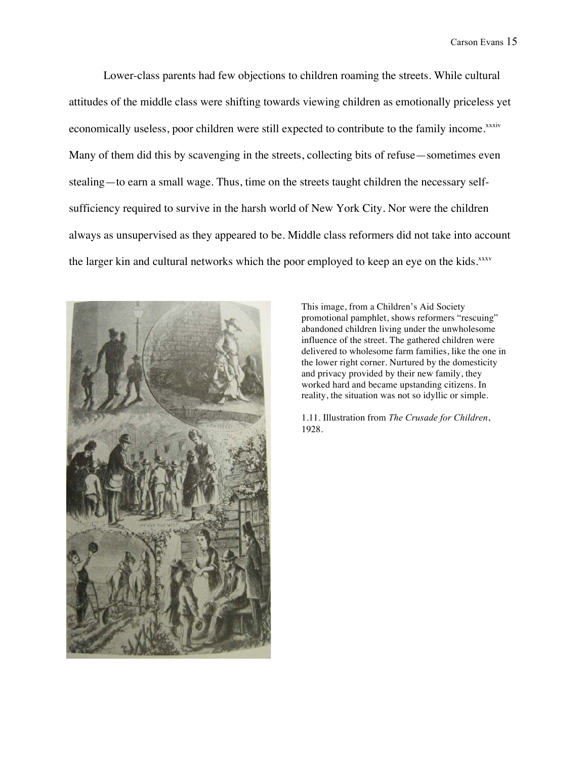Lower-class parents had few objections to children roaming the streets. While cultural attitudes of the middle class were shifting towards viewing children as emotionally priceless yet economically useless, poor children were still expected to contribute to the family income.xxxiv Many of them did this by scavenging in the streets, collecting bits of refuse—sometimes even stealing—to earn a small wage. Thus, time on the streets taught children the necessary selfsufficiency required to survive in the harsh world of New York City. Nor were the children always as unsupervised as they appeared to be. Middle class reformers did not take into account the larger kin and cultural networks which the poor employed to keep an eye on the kids.xxxv



This image, from a Children's Aid Society promotional pamphlet, shows reformers "rescuing" abandoned children living under the unwholesome influence of the street. The gathered children were delivered to wholesome farm families, like the one in the lower right corner. Nurtured by the domesticity and privacy provided by their new family, they worked hard and became upstanding citizens. In reality, the situation was not so idyllic or simple.

1.11. Illustration from *The Crusade for Children*, 1928.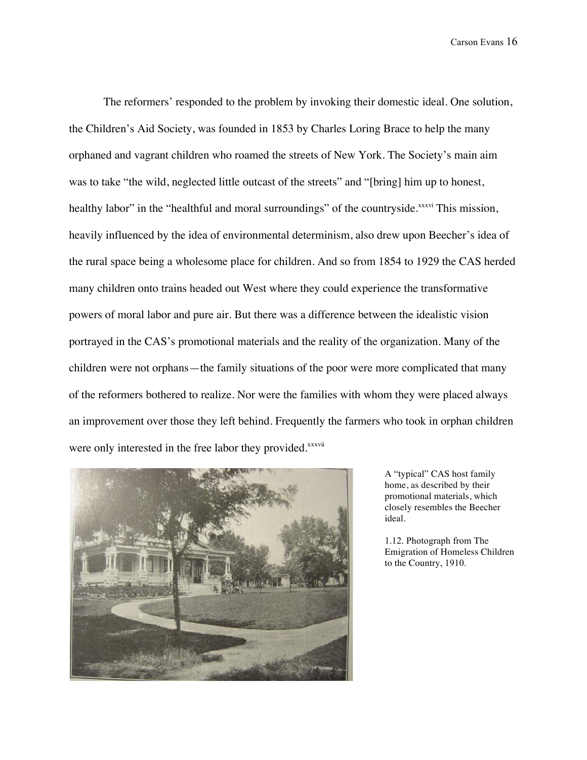The reformers' responded to the problem by invoking their domestic ideal. One solution, the Children's Aid Society, was founded in 1853 by Charles Loring Brace to help the many orphaned and vagrant children who roamed the streets of New York. The Society's main aim was to take "the wild, neglected little outcast of the streets" and "[bring] him up to honest, healthy labor" in the "healthful and moral surroundings" of the countryside.<sup>xxxvi</sup> This mission, heavily influenced by the idea of environmental determinism, also drew upon Beecher's idea of the rural space being a wholesome place for children. And so from 1854 to 1929 the CAS herded many children onto trains headed out West where they could experience the transformative powers of moral labor and pure air. But there was a difference between the idealistic vision portrayed in the CAS's promotional materials and the reality of the organization. Many of the children were not orphans—the family situations of the poor were more complicated that many of the reformers bothered to realize. Nor were the families with whom they were placed always an improvement over those they left behind. Frequently the farmers who took in orphan children were only interested in the free labor they provided.<sup>xxxvii</sup>



A "typical" CAS host family home, as described by their promotional materials, which closely resembles the Beecher ideal.

1.12. Photograph from The Emigration of Homeless Children to the Country, 1910.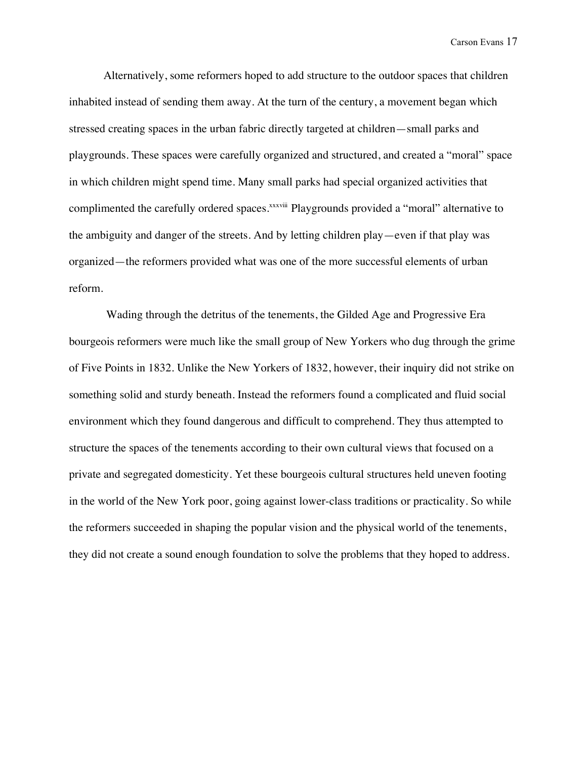Alternatively, some reformers hoped to add structure to the outdoor spaces that children inhabited instead of sending them away. At the turn of the century, a movement began which stressed creating spaces in the urban fabric directly targeted at children—small parks and playgrounds. These spaces were carefully organized and structured, and created a "moral" space in which children might spend time. Many small parks had special organized activities that complimented the carefully ordered spaces.<sup>xxxviii</sup> Playgrounds provided a "moral" alternative to the ambiguity and danger of the streets. And by letting children play—even if that play was organized—the reformers provided what was one of the more successful elements of urban reform.

Wading through the detritus of the tenements, the Gilded Age and Progressive Era bourgeois reformers were much like the small group of New Yorkers who dug through the grime of Five Points in 1832. Unlike the New Yorkers of 1832, however, their inquiry did not strike on something solid and sturdy beneath. Instead the reformers found a complicated and fluid social environment which they found dangerous and difficult to comprehend. They thus attempted to structure the spaces of the tenements according to their own cultural views that focused on a private and segregated domesticity. Yet these bourgeois cultural structures held uneven footing in the world of the New York poor, going against lower-class traditions or practicality. So while the reformers succeeded in shaping the popular vision and the physical world of the tenements, they did not create a sound enough foundation to solve the problems that they hoped to address.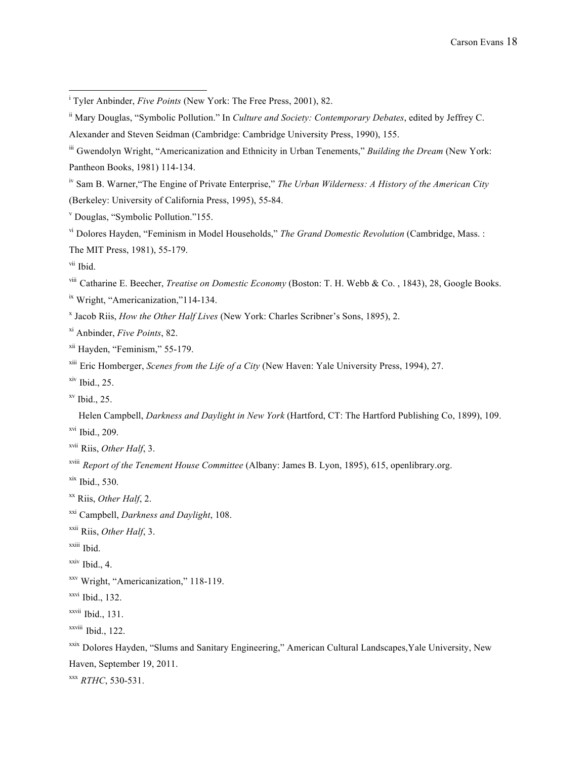iv Sam B. Warner,"The Engine of Private Enterprise," *The Urban Wilderness: A History of the American City*  (Berkeley: University of California Press, 1995), 55-84.

<sup>v</sup> Douglas, "Symbolic Pollution."155.

vi Dolores Hayden, "Feminism in Model Households," *The Grand Domestic Revolution* (Cambridge, Mass. : The MIT Press, 1981), 55-179.

vii Ibid.

viii Catharine E. Beecher, *Treatise on Domestic Economy* (Boston: T. H. Webb & Co. , 1843), 28, Google Books. ix Wright, "Americanization,"114-134.

<sup>x</sup> Jacob Riis, *How the Other Half Lives* (New York: Charles Scribner's Sons, 1895), 2.

xi Anbinder, *Five Points*, 82.

xii Hayden, "Feminism," 55-179.

xiii Eric Homberger, *Scenes from the Life of a City* (New Haven: Yale University Press, 1994), 27.

 $xiv$  Ibid., 25.

 $xv$  Ibid., 25.

 Helen Campbell, *Darkness and Daylight in New York* (Hartford, CT: The Hartford Publishing Co, 1899), 109.  $xvi$  Ibid., 209.

xvii Riis, *Other Half*, 3.

xviii *Report of the Tenement House Committee* (Albany: James B. Lyon, 1895), 615, openlibrary.org.

 $x$ ix Ibid., 530.

xx Riis, *Other Half*, 2.

xxi Campbell, *Darkness and Daylight*, 108.

xxii Riis, *Other Half*, 3.

xxiii Ibid.

 $xxiv$  Ibid., 4.

xxv Wright, "Americanization," 118-119.

xxvi Ibid., 132.

 $x$ <sup>xxvii</sup> Ibid., 131.

xxviii Ibid., 122.

xxix Dolores Hayden, "Slums and Sanitary Engineering," American Cultural Landscapes,Yale University, New Haven, September 19, 2011.

xxx *RTHC*, 530-531.

<sup>|&</sup>lt;br>i <sup>i</sup> Tyler Anbinder, *Five Points* (New York: The Free Press, 2001), 82.

ii Mary Douglas, "Symbolic Pollution." In *Culture and Society: Contemporary Debates*, edited by Jeffrey C.

Alexander and Steven Seidman (Cambridge: Cambridge University Press, 1990), 155.

iii Gwendolyn Wright, "Americanization and Ethnicity in Urban Tenements," *Building the Dream* (New York: Pantheon Books, 1981) 114-134.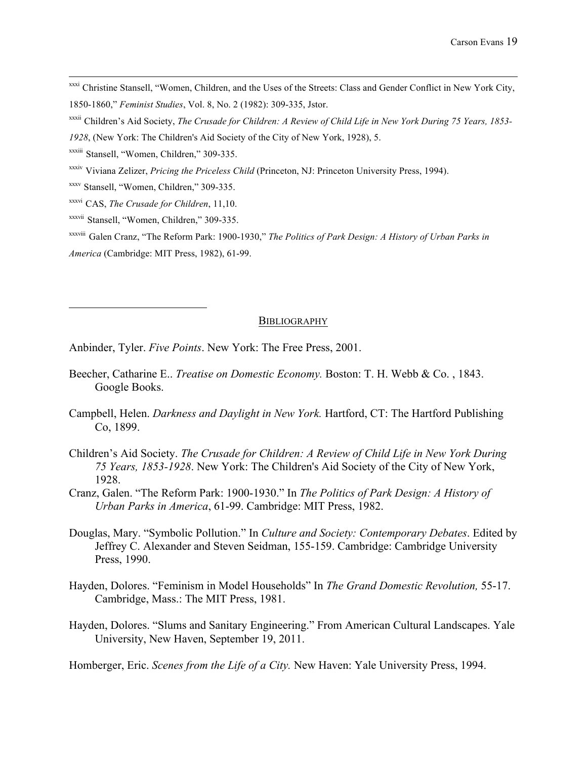- xxxi Christine Stansell, "Women, Children, and the Uses of the Streets: Class and Gender Conflict in New York City, 1850-1860," *Feminist Studies*, Vol. 8, No. 2 (1982): 309-335, Jstor.
- xxxii Children's Aid Society, *The Crusade for Children: A Review of Child Life in New York During 75 Years, 1853-*
- *1928*, (New York: The Children's Aid Society of the City of New York, 1928), 5.
- xxxiii Stansell, "Women, Children," 309-335.
- xxxiv Viviana Zelizer, *Pricing the Priceless Child* (Princeton, NJ: Princeton University Press, 1994).
- xxxv Stansell, "Women, Children," 309-335.
- xxxvi CAS, *The Crusade for Children*, 11,10.
- xxxvii Stansell, "Women, Children," 309-335.

xxxviii Galen Cranz, "The Reform Park: 1900-1930," *The Politics of Park Design: A History of Urban Parks in America* (Cambridge: MIT Press, 1982), 61-99.

## **BIBLIOGRAPHY**

Anbinder, Tyler. *Five Points*. New York: The Free Press, 2001.

- Beecher, Catharine E.. *Treatise on Domestic Economy.* Boston: T. H. Webb & Co. , 1843. Google Books.
- Campbell, Helen. *Darkness and Daylight in New York.* Hartford, CT: The Hartford Publishing Co, 1899.
- Children's Aid Society. *The Crusade for Children: A Review of Child Life in New York During 75 Years, 1853-1928*. New York: The Children's Aid Society of the City of New York, 1928.
- Cranz, Galen. "The Reform Park: 1900-1930." In *The Politics of Park Design: A History of Urban Parks in America*, 61-99. Cambridge: MIT Press, 1982.
- Douglas, Mary. "Symbolic Pollution." In *Culture and Society: Contemporary Debates*. Edited by Jeffrey C. Alexander and Steven Seidman, 155-159. Cambridge: Cambridge University Press, 1990.
- Hayden, Dolores. "Feminism in Model Households" In *The Grand Domestic Revolution,* 55-17. Cambridge, Mass.: The MIT Press, 1981.
- Hayden, Dolores. "Slums and Sanitary Engineering." From American Cultural Landscapes. Yale University, New Haven, September 19, 2011.

Homberger, Eric. *Scenes from the Life of a City.* New Haven: Yale University Press, 1994.